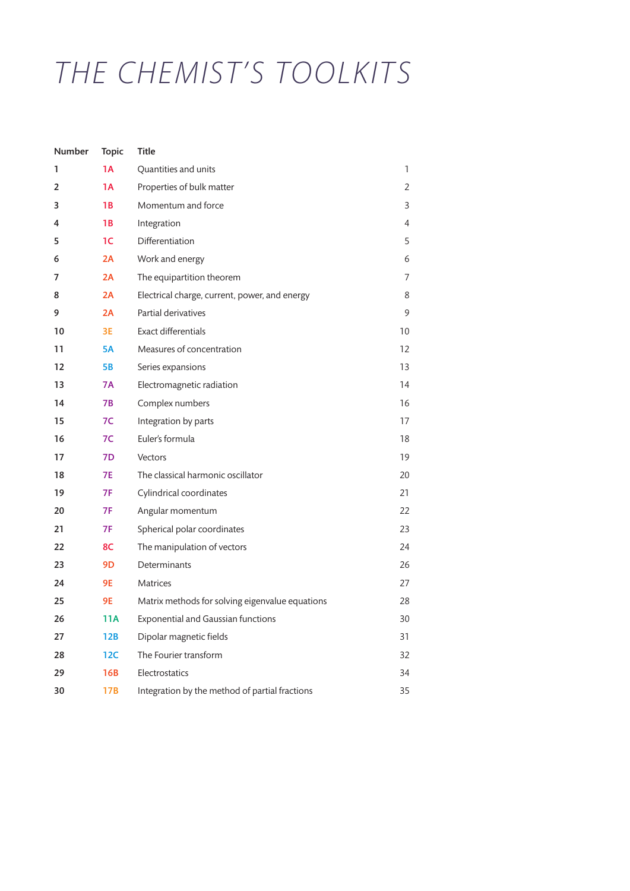## *THE CHEMIST'S TOOLKITS*

| Number | <b>Topic</b> | <b>Title</b>                                    |    |
|--------|--------------|-------------------------------------------------|----|
| 1      | <b>1A</b>    | Quantities and units                            | 1  |
| 2      | 1A           | Properties of bulk matter                       | 2  |
| 3      | 1B           | Momentum and force                              | 3  |
| 4      | 1В           | Integration                                     | 4  |
| 5      | 1C           | Differentiation                                 | 5  |
| 6      | 2A           | Work and energy                                 | 6  |
| 7      | 2A           | The equipartition theorem                       | 7  |
| 8      | 2A           | Electrical charge, current, power, and energy   | 8  |
| 9      | 2A           | Partial derivatives                             | 9  |
| 10     | 3E           | <b>Exact differentials</b>                      | 10 |
| 11     | <b>5A</b>    | Measures of concentration                       | 12 |
| 12     | <b>5B</b>    | Series expansions                               | 13 |
| 13     | 7A           | Electromagnetic radiation                       | 14 |
| 14     | 7В           | Complex numbers                                 | 16 |
| 15     | 7C           | Integration by parts                            | 17 |
| 16     | 7C           | Euler's formula                                 | 18 |
| 17     | 7D           | Vectors                                         | 19 |
| 18     | <b>7E</b>    | The classical harmonic oscillator               | 20 |
| 19     | 7F           | Cylindrical coordinates                         | 21 |
| 20     | 7F           | Angular momentum                                | 22 |
| 21     | 7F           | Spherical polar coordinates                     | 23 |
| 22     | 8C           | The manipulation of vectors                     | 24 |
| 23     | 9D           | Determinants                                    | 26 |
| 24     | 9E           | <b>Matrices</b>                                 | 27 |
| 25     | 9E           | Matrix methods for solving eigenvalue equations | 28 |
| 26     | 11A          | <b>Exponential and Gaussian functions</b>       | 30 |
| 27     | 12B          | Dipolar magnetic fields                         | 31 |
| 28     | 12C          | The Fourier transform                           | 32 |
| 29     | 16B          | Electrostatics                                  | 34 |
| 30     | 17B          | Integration by the method of partial fractions  | 35 |